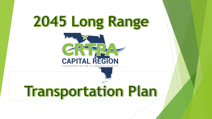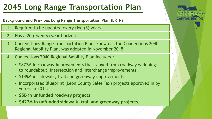### **Background and Previous Long Range Transportation Plan (LRTP)**

- Required to be updated every five (5) years.
- 2. Has a 20 (twenty) year horizon.
- 3. Current Long Range Transportation Plan, known as the Connections 2040 Regional Mobility Plan, was adopted in November 2015.
- 4. Connections 2040 Regional Mobility Plan included:
	- \$877M in roadway improvements that ranged from roadway widenings to roundabout, intersection and interchange improvements.
	- \$149M in sidewalk, trail and greenway improvements.
	- Incorporated Blueprint (Leon County Sales Tax) projects approved in by voters in 2014.
	- **\$5B in unfunded roadway projects.**
	- **\$427M in unfunded sidewalk, trail and greenway projects.**

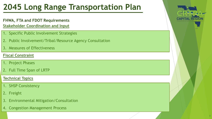### **Stakeholder Coordination and Input FHWA, FTA and FDOT Requirements**

- 1. Specific Public Involvement Strategies
- 2. Public Involvement/Tribal/Resource Agency Consultation
- 3. Measures of Effectiveness

### **Fiscal Constraint**

- 1. Project Phases
- 2. Full Time Span of LRTP

### **Technical Topics**

- 1. SHSP Consistency
- 2. Freight
- 3. Environmental Mitigation/Consultation
- 4. Congestion Management Process

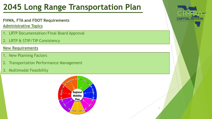## **FHWA, FTA and FDOT Requirements**

**Administrative Topics**

- 1. LRTP Documentation/Final Board Approval
- 2. LRTP & STIP/TIP Consistency

## **New Requirements**

- 1. New Planning Factors
- 2. Transportation Performance Management
- 3. Multimodal Feasibility





4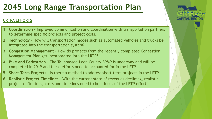## **CRTPA EFFORTS**

- **1. Coordination –** Improved communication and coordination with transportation partners to determine specific projects and project costs.
- **2. Technology** How will transportation modes such as automated vehicles and trucks be integrated into the transportation system?
- **3. Congestion Management**  How do projects from the recently completed Congestion Management Plan get incorporated into the LRTP?
- **4. Bike and Pedestrian** The Tallahassee-Leon County BPMP is underway and will be completed in 2019 and these efforts need to accounted for in the LRTP.
- **5. Short-Term Projects**  Is there a method to address short-term projects in the LRTP.
- **6. Realistic Project Timelines** With the current state of revenues declining, realistic project definitions, costs and timelines need to be a focus of the LRTP effort.

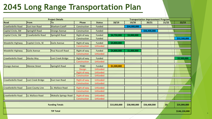| <b>Project Details</b>    |                         |                             |                              |                           | <b>Transportation Improvement Program</b> |              |              |       |               |
|---------------------------|-------------------------|-----------------------------|------------------------------|---------------------------|-------------------------------------------|--------------|--------------|-------|---------------|
| Road                      | From                    | To                          | <b>Phase</b>                 | <b>Status</b>             | 18/19                                     | 19/20        | 20/21        | 21/22 | 22/23         |
| Crawfordville Road        | <b>East Ivan Road</b>   | <b>Bloxham Cutoff</b>       | Construction                 | Funded                    |                                           | \$34,900,000 |              |       |               |
| Capital Circle, SW        | Springhill Road         | Orange Avenue               | Construction                 | Funded                    |                                           |              | \$56,400,000 |       |               |
| Capital Circle, SW        | Crawfordville Road      | Springhill Road             | Right-of-way                 | Funded                    | \$4,750,000                               | \$3,000,000  |              |       |               |
|                           |                         |                             | Construction                 | Funded                    |                                           |              |              |       | \$32,500,000  |
| <b>Woodville Highway</b>  | Capital Circle, SE      | Gaile Avenue                | Right-of-way<br>Construction | Funded<br><b>Unfunded</b> | \$4,800,000                               |              |              |       |               |
| <b>Woodville Highway</b>  | <b>Gaile Avenue</b>     | Paul Russell Road           | Right-of-way                 | Funded                    | \$4,800,000                               | \$1,000,000  |              |       |               |
|                           |                         |                             | Construction                 | <b>Unfunded</b>           |                                           |              |              |       |               |
| <b>Crawfordville Road</b> | Alaska Way              | Lost Creek Bridge           | Right-of-way                 | <b>Funded</b>             |                                           |              |              |       | \$2,500,000   |
|                           |                         |                             | Construction                 | <b>Unfunded</b>           |                                           |              |              |       |               |
| <b>Orange Avenue</b>      | Monroe Street           | Springhill Road             | PD&E                         | Funded                    | \$1,500,000                               |              |              |       |               |
|                           |                         |                             | <b>Design</b>                | <b>Unfunded</b>           |                                           |              |              |       |               |
|                           |                         |                             | Right-of-way                 | <b>Unfunded</b>           |                                           |              |              |       |               |
|                           |                         |                             | Construction                 | <b>Unfunded</b>           |                                           |              |              |       |               |
| Crawfordville Road        | Lost Creek Bridge       | East Ivan Road              | Right-of-way                 | <b>Unfunded</b>           |                                           |              |              |       |               |
|                           |                         |                             | Construction                 | <b>Unfunded</b>           |                                           |              |              |       |               |
| Crawfordville Road        | <b>Leon County Line</b> | LL Wallace Road             | Right-of-way                 | <b>Unfunded</b>           |                                           |              |              |       |               |
|                           |                         |                             | Construction                 | <b>Unfunded</b>           |                                           |              |              |       |               |
| <b>Crawfordville Road</b> | LL Wallace Road         | <b>Wakulla Springs Road</b> | Right-of-way                 | <b>Unfunded</b>           |                                           |              |              |       |               |
|                           |                         |                             | Construction                 | <b>Unfunded</b>           |                                           |              |              |       |               |
| <b>Funding Totals</b>     |                         |                             |                              |                           | \$15,850,000                              | \$38,900,000 | \$56,400,000 | \$0   | \$35,000,000  |
| <b>TIP Total</b>          |                         |                             |                              |                           |                                           |              |              |       | \$146,150,000 |

6